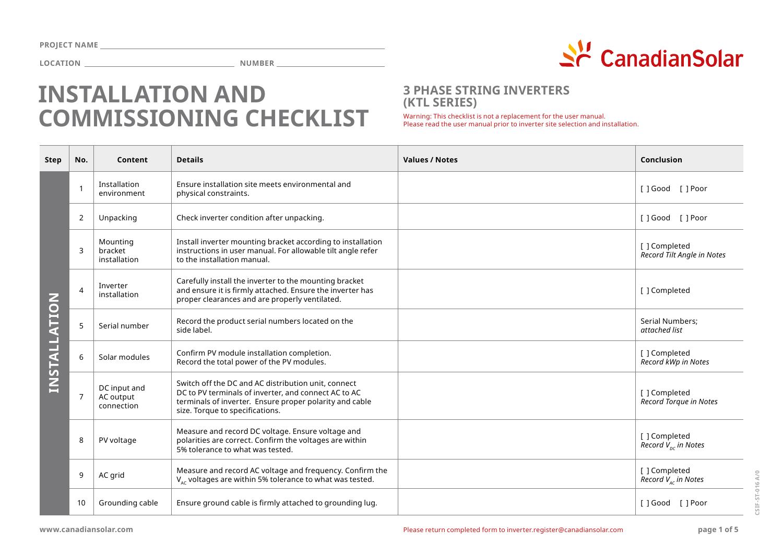

# **INSTALLATION AND COMMISSIONING CHECKLIST**

### **3 PHASE STRING INVERTERS (KTL SERIES)**

Warning: This checklist is not a replacement for the user manual.<br>Please read the user manual prior to inverter site selection and installation.

| <b>Step</b>  | No.            | Content                                 | <b>Details</b>                                                                                                                                                                                            | <b>Values / Notes</b> | Conclusion                                  |
|--------------|----------------|-----------------------------------------|-----------------------------------------------------------------------------------------------------------------------------------------------------------------------------------------------------------|-----------------------|---------------------------------------------|
| INSTALLATION | $\mathbf{1}$   | Installation<br>environment             | Ensure installation site meets environmental and<br>physical constraints.                                                                                                                                 |                       | [ ] Good [ ] Poor                           |
|              | 2              | Unpacking                               | Check inverter condition after unpacking.                                                                                                                                                                 |                       | []Good []Poor                               |
|              | 3              | Mounting<br>bracket<br>installation     | Install inverter mounting bracket according to installation<br>instructions in user manual. For allowable tilt angle refer<br>to the installation manual.                                                 |                       | [ ] Completed<br>Record Tilt Angle in Notes |
|              | 4              | Inverter<br>installation                | Carefully install the inverter to the mounting bracket<br>and ensure it is firmly attached. Ensure the inverter has<br>proper clearances and are properly ventilated.                                     |                       | [ ] Completed                               |
|              | 5              | Serial number                           | Record the product serial numbers located on the<br>side label.                                                                                                                                           |                       | Serial Numbers;<br>attached list            |
|              | 6              | Solar modules                           | Confirm PV module installation completion.<br>Record the total power of the PV modules.                                                                                                                   |                       | [ ] Completed<br>Record kWp in Notes        |
|              | $\overline{7}$ | DC input and<br>AC output<br>connection | Switch off the DC and AC distribution unit, connect<br>DC to PV terminals of inverter, and connect AC to AC<br>terminals of inverter. Ensure proper polarity and cable<br>size. Torque to specifications. |                       | [ ] Completed<br>Record Torque in Notes     |
|              | 8              | PV voltage                              | Measure and record DC voltage. Ensure voltage and<br>polarities are correct. Confirm the voltages are within<br>5% tolerance to what was tested.                                                          |                       | [ ] Completed<br>Record $V_{nc}$ in Notes   |
|              | 9              | AC grid                                 | Measure and record AC voltage and frequency. Confirm the<br>$V_{ac}$ voltages are within 5% tolerance to what was tested.                                                                                 |                       | [ ] Completed<br>Record $V_{AC}$ in Notes   |
|              | 10             | Grounding cable                         | Ensure ground cable is firmly attached to grounding lug.                                                                                                                                                  |                       | []Good []Poor                               |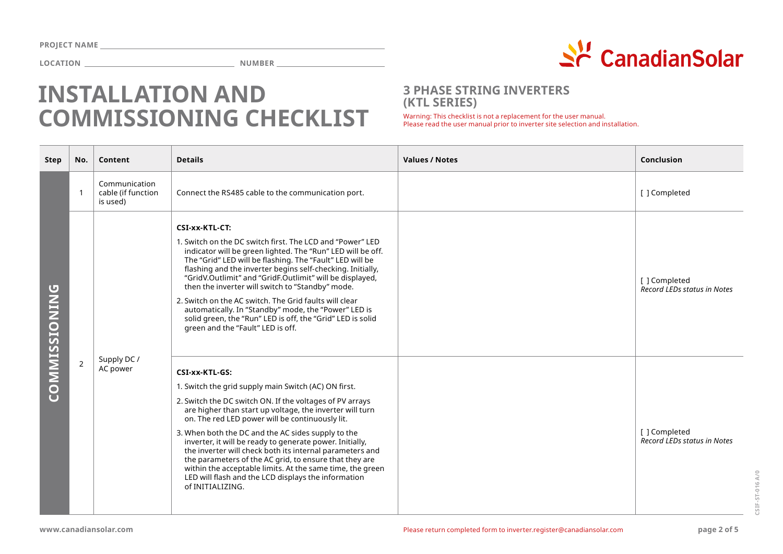

# **INSTALLATION AND COMMISSIONING CHECKLIST**

### **3 PHASE STRING INVERTERS (KTL SERIES)**

Warning: This checklist is not a replacement for the user manual.<br>Please read the user manual prior to inverter site selection and installation.

| <b>Step</b>          | No.            | Content                                         | <b>Details</b>                                                                                                                                                                                                                                                                                                                                                                                                                                                                                                                                                                                                                    | <b>Values / Notes</b> | Conclusion                                          |
|----------------------|----------------|-------------------------------------------------|-----------------------------------------------------------------------------------------------------------------------------------------------------------------------------------------------------------------------------------------------------------------------------------------------------------------------------------------------------------------------------------------------------------------------------------------------------------------------------------------------------------------------------------------------------------------------------------------------------------------------------------|-----------------------|-----------------------------------------------------|
| <b>COMMISSIONING</b> | $\mathbf{1}$   | Communication<br>cable (if function<br>is used) | Connect the RS485 cable to the communication port.                                                                                                                                                                                                                                                                                                                                                                                                                                                                                                                                                                                |                       | [ ] Completed                                       |
|                      | $\overline{2}$ | Supply DC/<br>AC power                          | CSI-xx-KTL-CT:<br>1. Switch on the DC switch first. The LCD and "Power" LED<br>indicator will be green lighted. The "Run" LED will be off.<br>The "Grid" LED will be flashing. The "Fault" LED will be<br>flashing and the inverter begins self-checking. Initially,<br>"GridV.Outlimit" and "GridF.Outlimit" will be displayed,<br>then the inverter will switch to "Standby" mode.<br>2. Switch on the AC switch. The Grid faults will clear<br>automatically. In "Standby" mode, the "Power" LED is<br>solid green, the "Run" LED is off, the "Grid" LED is solid<br>green and the "Fault" LED is off.                         |                       | [ ] Completed<br><b>Record LEDs status in Notes</b> |
|                      |                |                                                 | CSI-xx-KTL-GS:<br>1. Switch the grid supply main Switch (AC) ON first.<br>2. Switch the DC switch ON. If the voltages of PV arrays<br>are higher than start up voltage, the inverter will turn<br>on. The red LED power will be continuously lit.<br>3. When both the DC and the AC sides supply to the<br>inverter, it will be ready to generate power. Initially,<br>the inverter will check both its internal parameters and<br>the parameters of the AC grid, to ensure that they are<br>within the acceptable limits. At the same time, the green<br>LED will flash and the LCD displays the information<br>of INITIALIZING. |                       | [ ] Completed<br><b>Record LEDs status in Notes</b> |

**CSIF-ST-016 A/0**

CSIF-ST-016 A/0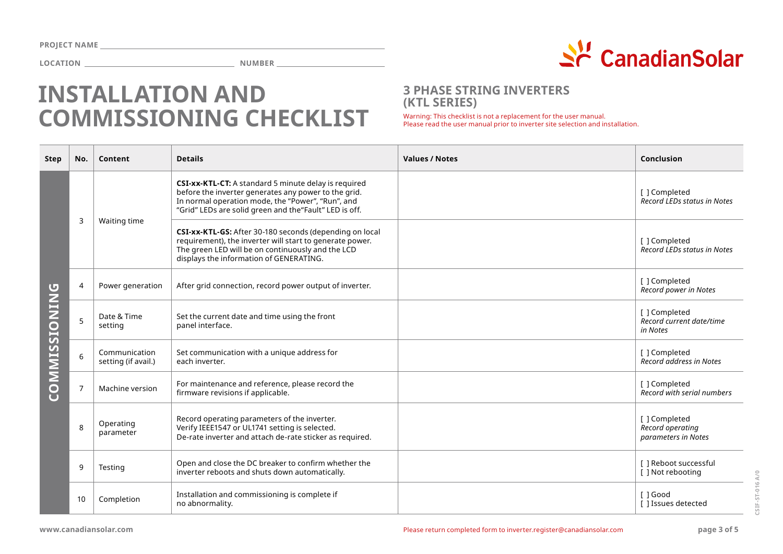

# **INSTALLATION AND COMMISSIONING CHECKLIST**

### **3 PHASE STRING INVERTERS (KTL SERIES)**

Warning: This checklist is not a replacement for the user manual.<br>Please read the user manual prior to inverter site selection and installation.

| Step                 | No.            | Content                              | <b>Details</b>                                                                                                                                                                                                               | <b>Values / Notes</b> | <b>Conclusion</b>                                        |
|----------------------|----------------|--------------------------------------|------------------------------------------------------------------------------------------------------------------------------------------------------------------------------------------------------------------------------|-----------------------|----------------------------------------------------------|
| <b>COMMISSIONING</b> | 3              | Waiting time                         | CSI-xx-KTL-CT: A standard 5 minute delay is required<br>before the inverter generates any power to the grid.<br>In normal operation mode, the "Power", "Run", and<br>"Grid" LEDs are solid green and the "Fault" LED is off. |                       | [ ] Completed<br><b>Record LEDs status in Notes</b>      |
|                      |                |                                      | CSI-xx-KTL-GS: After 30-180 seconds (depending on local<br>requirement), the inverter will start to generate power.<br>The green LED will be on continuously and the LCD<br>displays the information of GENERATING.          |                       | [ ] Completed<br>Record LEDs status in Notes             |
|                      | 4              | Power generation                     | After grid connection, record power output of inverter.                                                                                                                                                                      |                       | [ ] Completed<br>Record power in Notes                   |
|                      | 5              | Date & Time<br>setting               | Set the current date and time using the front<br>panel interface.                                                                                                                                                            |                       | [ ] Completed<br>Record current date/time<br>in Notes    |
|                      | 6              | Communication<br>setting (if avail.) | Set communication with a unique address for<br>each inverter.                                                                                                                                                                |                       | [ ] Completed<br>Record address in Notes                 |
|                      | $\overline{7}$ | Machine version                      | For maintenance and reference, please record the<br>firmware revisions if applicable.                                                                                                                                        |                       | [ ] Completed<br>Record with serial numbers              |
|                      | 8              | Operating<br>parameter               | Record operating parameters of the inverter.<br>Verify IEEE1547 or UL1741 setting is selected.<br>De-rate inverter and attach de-rate sticker as required.                                                                   |                       | [ ] Completed<br>Record operating<br>parameters in Notes |
|                      | 9              | Testing                              | Open and close the DC breaker to confirm whether the<br>inverter reboots and shuts down automatically.                                                                                                                       |                       | [ ] Reboot successful<br>[ ] Not rebooting               |
|                      | 10             | Completion                           | Installation and commissioning is complete if<br>no abnormality.                                                                                                                                                             |                       | [ ] Good<br>[ ] Issues detected                          |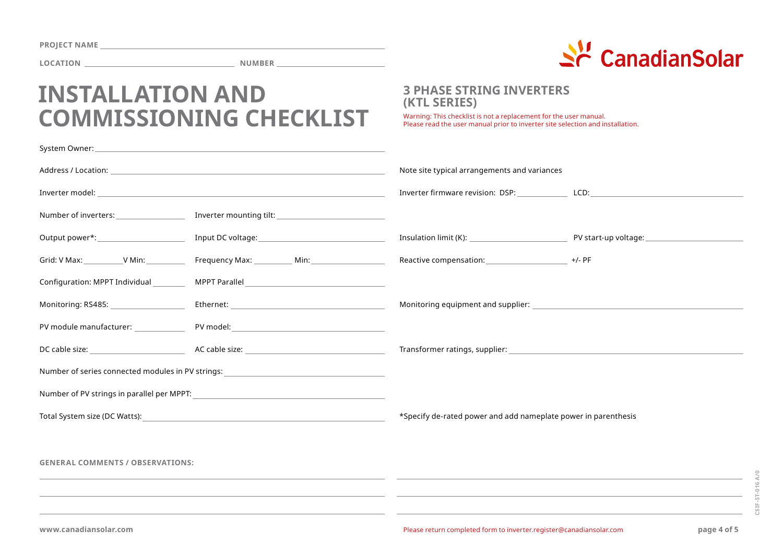| <b>PROJECT NAME</b> |  |
|---------------------|--|
|---------------------|--|



# **INSTALLATION AND COMMISSIONING CHECKLIST**

### **3 PHASE STRING INVERTERS (KTL SERIES)**

Warning: This checklist is not a replacement for the user manual.<br>Please read the user manual prior to inverter site selection and installation.

|                                           |                                                                                                                                                                                                                                | Note site typical arrangements and variances                                                           |  |
|-------------------------------------------|--------------------------------------------------------------------------------------------------------------------------------------------------------------------------------------------------------------------------------|--------------------------------------------------------------------------------------------------------|--|
|                                           |                                                                                                                                                                                                                                | Inverter firmware revision: DSP: _________________ LCD:                                                |  |
| Number of inverters: Number of inverters: | Inverter mounting tilt: National Communications of the Communications of the Communications of the Communications of the Communications of the Communications of the Communications of the Communications of the Communication |                                                                                                        |  |
| Output power*: _______________________    |                                                                                                                                                                                                                                |                                                                                                        |  |
| Grid: V Max: V Min:                       | Frequency Max: Min: Min:                                                                                                                                                                                                       | Reactive compensation: _______________________ +/- PF                                                  |  |
| Configuration: MPPT Individual            |                                                                                                                                                                                                                                |                                                                                                        |  |
| Monitoring: RS485: New York New York 1997 |                                                                                                                                                                                                                                | Monitoring equipment and supplier: National Section Assembly of the Monitoring equipment and supplier: |  |
| PV module manufacturer:                   |                                                                                                                                                                                                                                |                                                                                                        |  |
|                                           |                                                                                                                                                                                                                                |                                                                                                        |  |
|                                           | Number of series connected modules in PV strings: ______________________________                                                                                                                                               |                                                                                                        |  |
|                                           |                                                                                                                                                                                                                                |                                                                                                        |  |
| Total System size (DC Watts):             | <u> 1980 - Johann Barbara, martxa alemaniar amerikan a</u>                                                                                                                                                                     | *Specify de-rated power and add nameplate power in parenthesis                                         |  |
|                                           |                                                                                                                                                                                                                                |                                                                                                        |  |
| <b>GENERAL COMMENTS / OBSERVATIONS:</b>   |                                                                                                                                                                                                                                |                                                                                                        |  |
|                                           |                                                                                                                                                                                                                                |                                                                                                        |  |
|                                           |                                                                                                                                                                                                                                |                                                                                                        |  |
|                                           |                                                                                                                                                                                                                                |                                                                                                        |  |